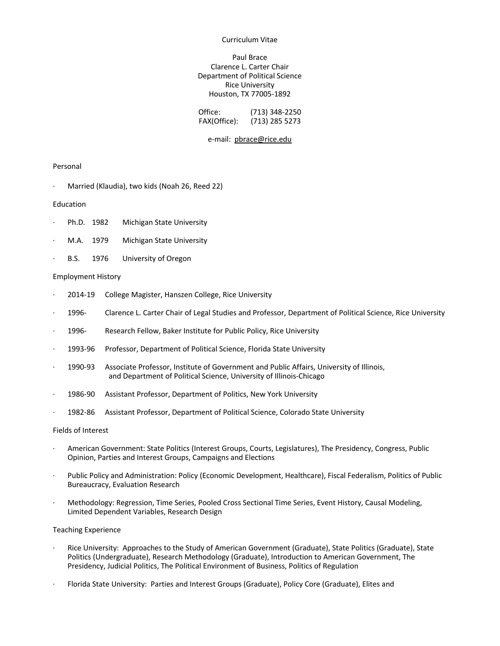#### Curriculum Vitae

## Paul Brace Clarence L. Carter Chair Department of Political Science Rice University Houston, TX 77005-1892

| Office:      | $(713)$ 348-2250 |
|--------------|------------------|
| FAX(Office): | (713) 285 5273   |

#### e-mail: pbrace@rice.edu

## Personal

Married (Klaudia), two kids (Noah 26, Reed 22)

#### Education

- Ph.D. 1982 Michigan State University
- M.A. 1979 Michigan State University
- B.S. 1976 University of Oregon

#### Employment History

- 2014-19 College Magister, Hanszen College, Rice University
- · 1996- Clarence L. Carter Chair of Legal Studies and Professor, Department of Political Science, Rice University
- · 1996- Research Fellow, Baker Institute for Public Policy, Rice University
- 1993-96 Professor, Department of Political Science, Florida State University
- · 1990-93 Associate Professor, Institute of Government and Public Affairs, University of Illinois, and Department of Political Science, University of Illinois-Chicago
- 1986-90 Assistant Professor, Department of Politics, New York University
- · 1982-86 Assistant Professor, Department of Political Science, Colorado State University

#### Fields of Interest

- · American Government: State Politics (Interest Groups, Courts, Legislatures), The Presidency, Congress, Public Opinion, Parties and Interest Groups, Campaigns and Elections
- · Public Policy and Administration: Policy (Economic Development, Healthcare), Fiscal Federalism, Politics of Public Bureaucracy, Evaluation Research
- · Methodology: Regression, Time Series, Pooled Cross Sectional Time Series, Event History, Causal Modeling, Limited Dependent Variables, Research Design

#### Teaching Experience

- · Rice University: Approaches to the Study of American Government (Graduate), State Politics (Graduate), State Politics (Undergraduate), Research Methodology (Graduate), Introduction to American Government, The Presidency, Judicial Politics, The Political Environment of Business, Politics of Regulation
- · Florida State University: Parties and Interest Groups (Graduate), Policy Core (Graduate), Elites and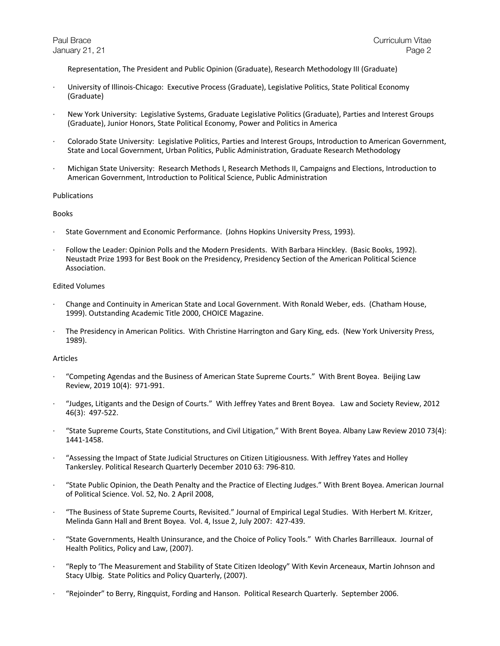Representation, The President and Public Opinion (Graduate), Research Methodology III (Graduate)

- · University of Illinois-Chicago: Executive Process (Graduate), Legislative Politics, State Political Economy (Graduate)
- · New York University: Legislative Systems, Graduate Legislative Politics (Graduate), Parties and Interest Groups (Graduate), Junior Honors, State Political Economy, Power and Politics in America
- · Colorado State University: Legislative Politics, Parties and Interest Groups, Introduction to American Government, State and Local Government, Urban Politics, Public Administration, Graduate Research Methodology
- · Michigan State University: Research Methods I, Research Methods II, Campaigns and Elections, Introduction to American Government, Introduction to Political Science, Public Administration

## Publications

## Books

- · State Government and Economic Performance. (Johns Hopkins University Press, 1993).
- · Follow the Leader: Opinion Polls and the Modern Presidents. With Barbara Hinckley. (Basic Books, 1992). Neustadt Prize 1993 for Best Book on the Presidency, Presidency Section of the American Political Science Association.

# Edited Volumes

- · Change and Continuity in American State and Local Government. With Ronald Weber, eds. (Chatham House, 1999). Outstanding Academic Title 2000, CHOICE Magazine.
- · The Presidency in American Politics. With Christine Harrington and Gary King, eds. (New York University Press, 1989).

# Articles

- · "Competing Agendas and the Business of American State Supreme Courts." With Brent Boyea. Beijing Law Review, 2019 10(4): 971-991.
- · "Judges, Litigants and the Design of Courts." With Jeffrey Yates and Brent Boyea. Law and Society Review, 2012 46(3): 497-522.
- · "State Supreme Courts, State Constitutions, and Civil Litigation," With Brent Boyea. Albany Law Review 2010 73(4): 1441-1458.
- · "Assessing the Impact of State Judicial Structures on Citizen Litigiousness. With Jeffrey Yates and Holley Tankersley. Political Research Quarterly December 2010 63: 796-810.
- · "State Public Opinion, the Death Penalty and the Practice of Electing Judges." With Brent Boyea. American Journal of Political Science. Vol. 52, No. 2 April 2008,
- · "The Business of State Supreme Courts, Revisited." Journal of Empirical Legal Studies. With Herbert M. Kritzer, Melinda Gann Hall and Brent Boyea. Vol. 4, Issue 2, July 2007: 427-439.
- · "State Governments, Health Uninsurance, and the Choice of Policy Tools." With Charles Barrilleaux. Journal of Health Politics, Policy and Law, (2007).
- · "Reply to 'The Measurement and Stability of State Citizen Ideology" With Kevin Arceneaux, Martin Johnson and Stacy Ulbig. State Politics and Policy Quarterly, (2007).
- · "Rejoinder" to Berry, Ringquist, Fording and Hanson. Political Research Quarterly. September 2006.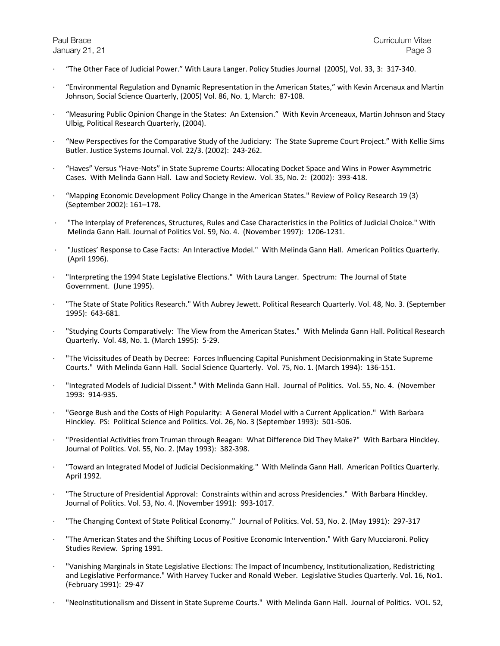- · "The Other Face of Judicial Power." With Laura Langer. Policy Studies Journal (2005), Vol. 33, 3: 317-340.
- · "Environmental Regulation and Dynamic Representation in the American States," with Kevin Arcenaux and Martin Johnson, Social Science Quarterly, (2005) Vol. 86, No. 1, March: 87-108.
- · "Measuring Public Opinion Change in the States: An Extension." With Kevin Arceneaux, Martin Johnson and Stacy Ulbig, Political Research Quarterly, (2004).
- · "New Perspectives for the Comparative Study of the Judiciary: The State Supreme Court Project." With Kellie Sims Butler. Justice Systems Journal. Vol. 22/3. (2002): 243-262.
- · "Haves" Versus "Have-Nots" in State Supreme Courts: Allocating Docket Space and Wins in Power Asymmetric Cases. With Melinda Gann Hall. Law and Society Review. Vol. 35, No. 2: (2002): 393-418.
- · "Mapping Economic Development Policy Change in the American States." Review of Policy Research 19 (3) (September 2002): 161–178.
- · "The Interplay of Preferences, Structures, Rules and Case Characteristics in the Politics of Judicial Choice." With Melinda Gann Hall. Journal of Politics Vol. 59, No. 4. (November 1997): 1206-1231.
- · "Justices' Response to Case Facts: An Interactive Model." With Melinda Gann Hall. American Politics Quarterly. (April 1996).
- · "Interpreting the 1994 State Legislative Elections." With Laura Langer. Spectrum: The Journal of State Government. (June 1995).
- · "The State of State Politics Research." With Aubrey Jewett. Political Research Quarterly. Vol. 48, No. 3. (September 1995): 643-681.
- · "Studying Courts Comparatively: The View from the American States." With Melinda Gann Hall. Political Research Quarterly. Vol. 48, No. 1. (March 1995): 5-29.
- · "The Vicissitudes of Death by Decree: Forces Influencing Capital Punishment Decisionmaking in State Supreme Courts." With Melinda Gann Hall. Social Science Quarterly. Vol. 75, No. 1. (March 1994): 136-151.
- · "Integrated Models of Judicial Dissent." With Melinda Gann Hall. Journal of Politics. Vol. 55, No. 4. (November 1993: 914-935.
- · "George Bush and the Costs of High Popularity: A General Model with a Current Application." With Barbara Hinckley. PS: Political Science and Politics. Vol. 26, No. 3 (September 1993): 501-506.
- · "Presidential Activities from Truman through Reagan: What Difference Did They Make?" With Barbara Hinckley. Journal of Politics. Vol. 55, No. 2. (May 1993): 382-398.
- · "Toward an Integrated Model of Judicial Decisionmaking." With Melinda Gann Hall. American Politics Quarterly. April 1992.
- · "The Structure of Presidential Approval: Constraints within and across Presidencies." With Barbara Hinckley. Journal of Politics. Vol. 53, No. 4. (November 1991): 993-1017.
- · "The Changing Context of State Political Economy." Journal of Politics. Vol. 53, No. 2. (May 1991): 297-317
- · "The American States and the Shifting Locus of Positive Economic Intervention." With Gary Mucciaroni. Policy Studies Review. Spring 1991.
- · "Vanishing Marginals in State Legislative Elections: The Impact of Incumbency, Institutionalization, Redistricting and Legislative Performance." With Harvey Tucker and Ronald Weber. Legislative Studies Quarterly. Vol. 16, No1. (February 1991): 29-47
- · "NeoInstitutionalism and Dissent in State Supreme Courts." With Melinda Gann Hall. Journal of Politics. VOL. 52,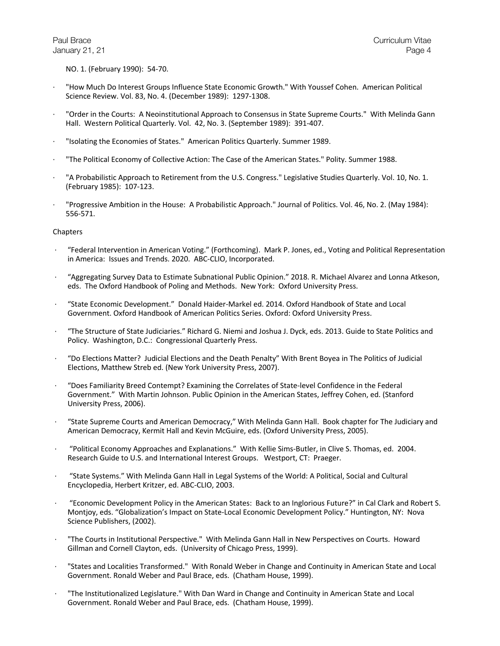NO. 1. (February 1990): 54-70.

- · "How Much Do Interest Groups Influence State Economic Growth." With Youssef Cohen. American Political Science Review. Vol. 83, No. 4. (December 1989): 1297-1308.
- · "Order in the Courts: A Neoinstitutional Approach to Consensus in State Supreme Courts." With Melinda Gann Hall. Western Political Quarterly. Vol. 42, No. 3. (September 1989): 391-407.
- · "Isolating the Economies of States." American Politics Quarterly. Summer 1989.
- · "The Political Economy of Collective Action: The Case of the American States." Polity. Summer 1988.
- · "A Probabilistic Approach to Retirement from the U.S. Congress." Legislative Studies Quarterly. Vol. 10, No. 1. (February 1985): 107-123.
- · "Progressive Ambition in the House: A Probabilistic Approach." Journal of Politics. Vol. 46, No. 2. (May 1984): 556-571.

## **Chapters**

- · "Federal Intervention in American Voting." (Forthcoming). Mark P. Jones, ed., Voting and Political Representation in America: Issues and Trends. 2020. ABC-CLIO, Incorporated.
- · "Aggregating Survey Data to Estimate Subnational Public Opinion." 2018. R. Michael Alvarez and Lonna Atkeson, eds. The Oxford Handbook of Poling and Methods. New York: Oxford University Press.
- · "State Economic Development." Donald Haider-Markel ed. 2014. Oxford Handbook of State and Local Government. Oxford Handbook of American Politics Series. Oxford: Oxford University Press.
- · "The Structure of State Judiciaries." Richard G. Niemi and Joshua J. Dyck, eds. 2013. Guide to State Politics and Policy. Washington, D.C.: Congressional Quarterly Press.
- · "Do Elections Matter? Judicial Elections and the Death Penalty" With Brent Boyea in The Politics of Judicial Elections, Matthew Streb ed. (New York University Press, 2007).
- · "Does Familiarity Breed Contempt? Examining the Correlates of State-level Confidence in the Federal Government." With Martin Johnson. Public Opinion in the American States, Jeffrey Cohen, ed. (Stanford University Press, 2006).
- · "State Supreme Courts and American Democracy," With Melinda Gann Hall. Book chapter for The Judiciary and American Democracy, Kermit Hall and Kevin McGuire, eds. (Oxford University Press, 2005).
- · "Political Economy Approaches and Explanations." With Kellie Sims-Butler, in Clive S. Thomas, ed. 2004. Research Guide to U.S. and International Interest Groups. Westport, CT: Praeger.
- · "State Systems." With Melinda Gann Hall in Legal Systems of the World: A Political, Social and Cultural Encyclopedia, Herbert Kritzer, ed. ABC-CLIO, 2003.
- · "Economic Development Policy in the American States: Back to an Inglorious Future?" in Cal Clark and Robert S. Montjoy, eds. "Globalization's Impact on State-Local Economic Development Policy." Huntington, NY: Nova Science Publishers, (2002).
- · "The Courts in Institutional Perspective." With Melinda Gann Hall in New Perspectives on Courts. Howard Gillman and Cornell Clayton, eds. (University of Chicago Press, 1999).
- · "States and Localities Transformed." With Ronald Weber in Change and Continuity in American State and Local Government. Ronald Weber and Paul Brace, eds. (Chatham House, 1999).
- · "The Institutionalized Legislature." With Dan Ward in Change and Continuity in American State and Local Government. Ronald Weber and Paul Brace, eds. (Chatham House, 1999).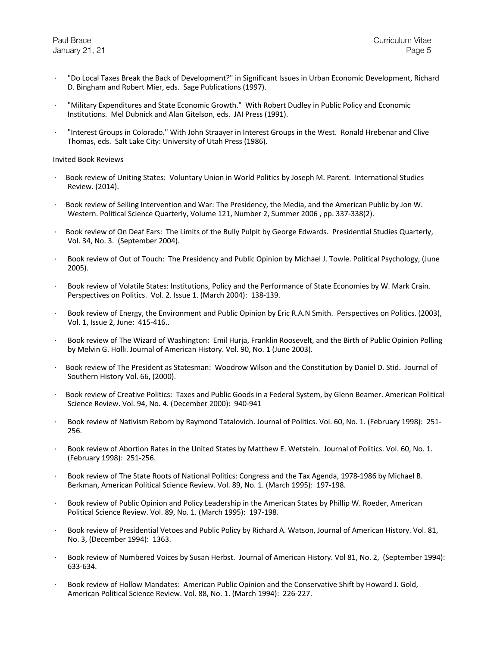- · "Do Local Taxes Break the Back of Development?" in Significant Issues in Urban Economic Development, Richard D. Bingham and Robert Mier, eds. Sage Publications (1997).
- · "Military Expenditures and State Economic Growth." With Robert Dudley in Public Policy and Economic Institutions. Mel Dubnick and Alan Gitelson, eds. JAI Press (1991).
- · "Interest Groups in Colorado." With John Straayer in Interest Groups in the West. Ronald Hrebenar and Clive Thomas, eds. Salt Lake City: University of Utah Press (1986).

#### Invited Book Reviews

- · Book review of Uniting States: Voluntary Union in World Politics by Joseph M. Parent. International Studies Review. (2014).
- · Book review of Selling Intervention and War: The Presidency, the Media, and the American Public by Jon W. Western. Political Science Quarterly, Volume 121, Number 2, Summer 2006 , pp. 337-338(2).
- · Book review of On Deaf Ears: The Limits of the Bully Pulpit by George Edwards. Presidential Studies Quarterly, Vol. 34, No. 3. (September 2004).
- · Book review of Out of Touch: The Presidency and Public Opinion by Michael J. Towle. Political Psychology, (June 2005).
- · Book review of Volatile States: Institutions, Policy and the Performance of State Economies by W. Mark Crain. Perspectives on Politics. Vol. 2. Issue 1. (March 2004): 138-139.
- · Book review of Energy, the Environment and Public Opinion by Eric R.A.N Smith. Perspectives on Politics. (2003), Vol. 1, Issue 2, June: 415-416..
- · Book review of The Wizard of Washington: Emil Hurja, Franklin Roosevelt, and the Birth of Public Opinion Polling by Melvin G. Holli. Journal of American History. Vol. 90, No. 1 (June 2003).
- · Book review of The President as Statesman: Woodrow Wilson and the Constitution by Daniel D. Stid. Journal of Southern History Vol. 66, (2000).
- · Book review of Creative Politics: Taxes and Public Goods in a Federal System, by Glenn Beamer. American Political Science Review. Vol. 94, No. 4. (December 2000): 940-941
- · Book review of Nativism Reborn by Raymond Tatalovich. Journal of Politics. Vol. 60, No. 1. (February 1998): 251- 256.
- Book review of Abortion Rates in the United States by Matthew E. Wetstein. Journal of Politics. Vol. 60, No. 1. (February 1998): 251-256.
- · Book review of The State Roots of National Politics: Congress and the Tax Agenda, 1978-1986 by Michael B. Berkman, American Political Science Review. Vol. 89, No. 1. (March 1995): 197-198.
- Book review of Public Opinion and Policy Leadership in the American States by Phillip W. Roeder, American Political Science Review. Vol. 89, No. 1. (March 1995): 197-198.
- · Book review of Presidential Vetoes and Public Policy by Richard A. Watson, Journal of American History. Vol. 81, No. 3, (December 1994): 1363.
- · Book review of Numbered Voices by Susan Herbst. Journal of American History. Vol 81, No. 2, (September 1994): 633-634.
- · Book review of Hollow Mandates: American Public Opinion and the Conservative Shift by Howard J. Gold, American Political Science Review. Vol. 88, No. 1. (March 1994): 226-227.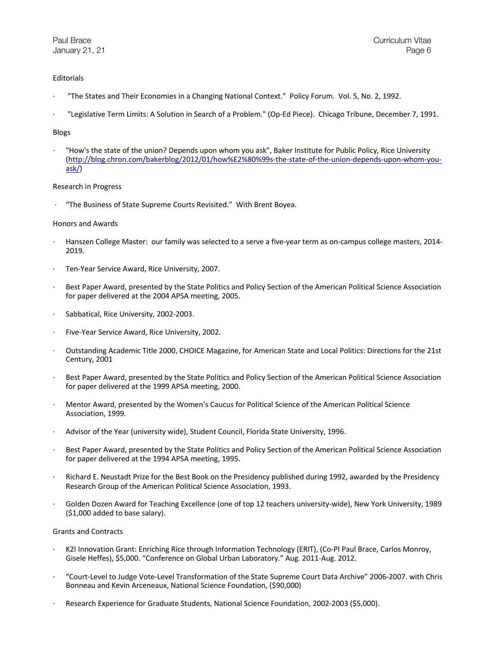# **Editorials**

- · "The States and Their Economies in a Changing National Context." Policy Forum. Vol. 5, No. 2, 1992.
- · "Legislative Term Limits: A Solution in Search of a Problem." (Op-Ed Piece). Chicago Tribune, December 7, 1991.

# Blogs

· "How's the state of the union? Depends upon whom you ask", Baker Institute for Public Policy, Rice University (http://blog.chron.com/bakerblog/2012/01/how%E2%80%99s-the-state-of-the-union-depends-upon-whom-youask/)

## Research in Progress

· "The Business of State Supreme Courts Revisited." With Brent Boyea.

## Honors and Awards

- · Hanszen College Master: our family was selected to a serve a five-year term as on-campus college masters, 2014- 2019.
- Ten-Year Service Award, Rice University, 2007.
- Best Paper Award, presented by the State Politics and Policy Section of the American Political Science Association for paper delivered at the 2004 APSA meeting, 2005.
- · Sabbatical, Rice University, 2002-2003.
- · Five-Year Service Award, Rice University, 2002.
- · Outstanding Academic Title 2000, CHOICE Magazine, for American State and Local Politics: Directions for the 21st Century, 2001
- Best Paper Award, presented by the State Politics and Policy Section of the American Political Science Association for paper delivered at the 1999 APSA meeting, 2000.
- · Mentor Award, presented by the Women's Caucus for Political Science of the American Political Science Association, 1999.
- · Advisor of the Year (university wide), Student Council, Florida State University, 1996.
- Best Paper Award, presented by the State Politics and Policy Section of the American Political Science Association for paper delivered at the 1994 APSA meeting, 1995.
- Richard E. Neustadt Prize for the Best Book on the Presidency published during 1992, awarded by the Presidency Research Group of the American Political Science Association, 1993.
- Golden Dozen Award for Teaching Excellence (one of top 12 teachers university-wide), New York University, 1989 (\$1,000 added to base salary).

## Grants and Contracts

- · K2I Innovation Grant: Enriching Rice through Information Technology (ERIT), (Co-PI Paul Brace, Carlos Monroy, Gisele Heffes), \$5,000. "Conference on Global Urban Laboratory." Aug. 2011-Aug. 2012.
- · "Court-Level to Judge Vote-Level Transformation of the State Supreme Court Data Archive" 2006-2007. with Chris Bonneau and Kevin Arceneaux, National Science Foundation, (\$90,000)
- Research Experience for Graduate Students, National Science Foundation, 2002-2003 (\$5,000).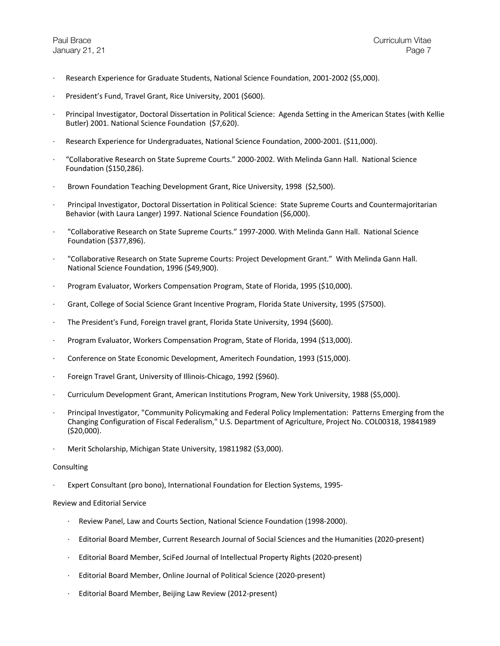- Research Experience for Graduate Students, National Science Foundation, 2001-2002 (\$5,000).
- President's Fund, Travel Grant, Rice University, 2001 (\$600).
- · Principal Investigator, Doctoral Dissertation in Political Science: Agenda Setting in the American States (with Kellie Butler) 2001. National Science Foundation (\$7,620).
- · Research Experience for Undergraduates, National Science Foundation, 2000-2001. (\$11,000).
- · "Collaborative Research on State Supreme Courts." 2000-2002. With Melinda Gann Hall. National Science Foundation (\$150,286).
- · Brown Foundation Teaching Development Grant, Rice University, 1998 (\$2,500).
- · Principal Investigator, Doctoral Dissertation in Political Science: State Supreme Courts and Countermajoritarian Behavior (with Laura Langer) 1997. National Science Foundation (\$6,000).
- · "Collaborative Research on State Supreme Courts." 1997-2000. With Melinda Gann Hall. National Science Foundation (\$377,896).
- · "Collaborative Research on State Supreme Courts: Project Development Grant." With Melinda Gann Hall. National Science Foundation, 1996 (\$49,900).
- · Program Evaluator, Workers Compensation Program, State of Florida, 1995 (\$10,000).
- Grant, College of Social Science Grant Incentive Program, Florida State University, 1995 (\$7500).
- · The President's Fund, Foreign travel grant, Florida State University, 1994 (\$600).
- · Program Evaluator, Workers Compensation Program, State of Florida, 1994 (\$13,000).
- · Conference on State Economic Development, Ameritech Foundation, 1993 (\$15,000).
- · Foreign Travel Grant, University of Illinois-Chicago, 1992 (\$960).
- · Curriculum Development Grant, American Institutions Program, New York University, 1988 (\$5,000).
- · Principal Investigator, "Community Policymaking and Federal Policy Implementation: Patterns Emerging from the Changing Configuration of Fiscal Federalism," U.S. Department of Agriculture, Project No. COL00318, 19841989 (\$20,000).
- · Merit Scholarship, Michigan State University, 19811982 (\$3,000).

## Consulting

· Expert Consultant (pro bono), International Foundation for Election Systems, 1995-

# Review and Editorial Service

- · Review Panel, Law and Courts Section, National Science Foundation (1998-2000).
- · Editorial Board Member, Current Research Journal of Social Sciences and the Humanities (2020-present)
- · Editorial Board Member, SciFed Journal of Intellectual Property Rights (2020-present)
- · Editorial Board Member, Online Journal of Political Science (2020-present)
- Editorial Board Member, Beijing Law Review (2012-present)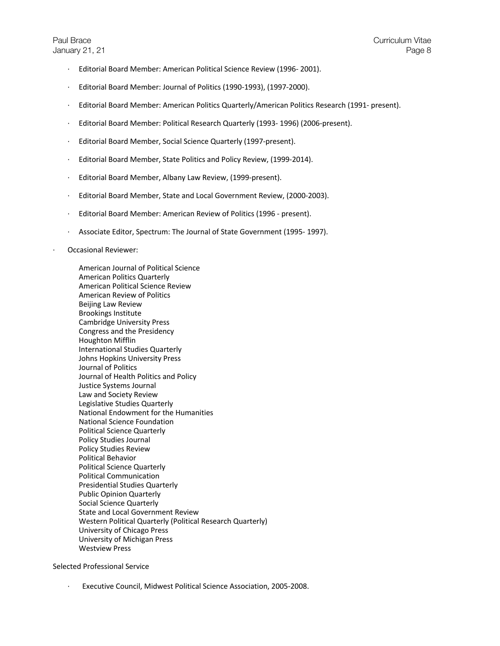- · Editorial Board Member: American Political Science Review (1996- 2001).
- · Editorial Board Member: Journal of Politics (1990-1993), (1997-2000).
- · Editorial Board Member: American Politics Quarterly/American Politics Research (1991- present).
- · Editorial Board Member: Political Research Quarterly (1993- 1996) (2006-present).
- · Editorial Board Member, Social Science Quarterly (1997-present).
- · Editorial Board Member, State Politics and Policy Review, (1999-2014).
- · Editorial Board Member, Albany Law Review, (1999-present).
- · Editorial Board Member, State and Local Government Review, (2000-2003).
- · Editorial Board Member: American Review of Politics (1996 present).
- · Associate Editor, Spectrum: The Journal of State Government (1995- 1997).
- · Occasional Reviewer:

American Journal of Political Science American Politics Quarterly American Political Science Review American Review of Politics Beijing Law Review Brookings Institute Cambridge University Press Congress and the Presidency Houghton Mifflin International Studies Quarterly Johns Hopkins University Press Journal of Politics Journal of Health Politics and Policy Justice Systems Journal Law and Society Review Legislative Studies Quarterly National Endowment for the Humanities National Science Foundation Political Science Quarterly Policy Studies Journal Policy Studies Review Political Behavior Political Science Quarterly Political Communication Presidential Studies Quarterly Public Opinion Quarterly Social Science Quarterly State and Local Government Review Western Political Quarterly (Political Research Quarterly) University of Chicago Press University of Michigan Press Westview Press

Selected Professional Service

· Executive Council, Midwest Political Science Association, 2005-2008.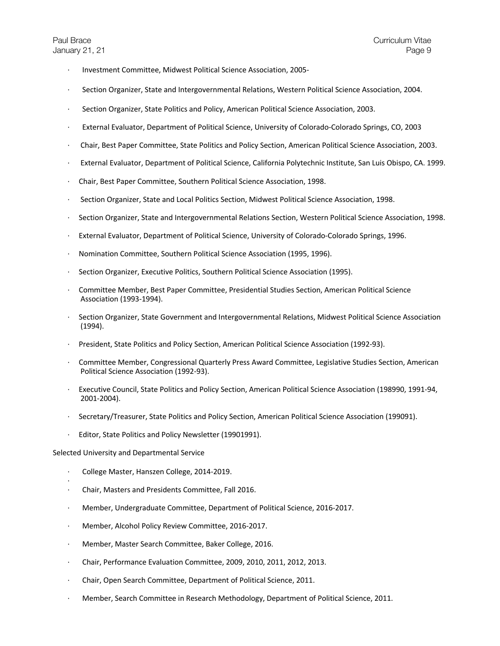- · Investment Committee, Midwest Political Science Association, 2005-
- · Section Organizer, State and Intergovernmental Relations, Western Political Science Association, 2004.
- · Section Organizer, State Politics and Policy, American Political Science Association, 2003.
- External Evaluator, Department of Political Science, University of Colorado-Colorado Springs, CO, 2003
- · Chair, Best Paper Committee, State Politics and Policy Section, American Political Science Association, 2003.
- · External Evaluator, Department of Political Science, California Polytechnic Institute, San Luis Obispo, CA. 1999.
- · Chair, Best Paper Committee, Southern Political Science Association, 1998.
- · Section Organizer, State and Local Politics Section, Midwest Political Science Association, 1998.
- · Section Organizer, State and Intergovernmental Relations Section, Western Political Science Association, 1998.
- External Evaluator, Department of Political Science, University of Colorado-Colorado Springs, 1996.
- · Nomination Committee, Southern Political Science Association (1995, 1996).
- Section Organizer, Executive Politics, Southern Political Science Association (1995).
- · Committee Member, Best Paper Committee, Presidential Studies Section, American Political Science Association (1993-1994).
- · Section Organizer, State Government and Intergovernmental Relations, Midwest Political Science Association (1994).
- · President, State Politics and Policy Section, American Political Science Association (1992-93).
- · Committee Member, Congressional Quarterly Press Award Committee, Legislative Studies Section, American Political Science Association (1992-93).
- · Executive Council, State Politics and Policy Section, American Political Science Association (198990, 1991-94, 2001-2004).
- · Secretary/Treasurer, State Politics and Policy Section, American Political Science Association (199091).
- Editor, State Politics and Policy Newsletter (19901991).

Selected University and Departmental Service

- · College Master, Hanszen College, 2014-2019.
- · · Chair, Masters and Presidents Committee, Fall 2016.
- · Member, Undergraduate Committee, Department of Political Science, 2016-2017.
- · Member, Alcohol Policy Review Committee, 2016-2017.
- · Member, Master Search Committee, Baker College, 2016.
- · Chair, Performance Evaluation Committee, 2009, 2010, 2011, 2012, 2013.
- · Chair, Open Search Committee, Department of Political Science, 2011.
- · Member, Search Committee in Research Methodology, Department of Political Science, 2011.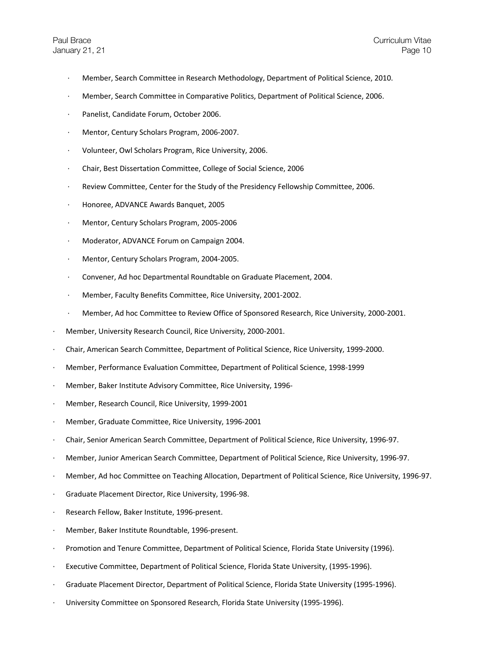- · Member, Search Committee in Research Methodology, Department of Political Science, 2010.
- · Member, Search Committee in Comparative Politics, Department of Political Science, 2006.
- Panelist, Candidate Forum, October 2006.
- · Mentor, Century Scholars Program, 2006-2007.
- · Volunteer, Owl Scholars Program, Rice University, 2006.
- · Chair, Best Dissertation Committee, College of Social Science, 2006
- Review Committee, Center for the Study of the Presidency Fellowship Committee, 2006.
- · Honoree, ADVANCE Awards Banquet, 2005
- · Mentor, Century Scholars Program, 2005-2006
- · Moderator, ADVANCE Forum on Campaign 2004.
- · Mentor, Century Scholars Program, 2004-2005.
- · Convener, Ad hoc Departmental Roundtable on Graduate Placement, 2004.
- · Member, Faculty Benefits Committee, Rice University, 2001-2002.
- · Member, Ad hoc Committee to Review Office of Sponsored Research, Rice University, 2000-2001.
- Member, University Research Council, Rice University, 2000-2001.
- · Chair, American Search Committee, Department of Political Science, Rice University, 1999-2000.
- · Member, Performance Evaluation Committee, Department of Political Science, 1998-1999
- · Member, Baker Institute Advisory Committee, Rice University, 1996-
- Member, Research Council, Rice University, 1999-2001
- · Member, Graduate Committee, Rice University, 1996-2001
- · Chair, Senior American Search Committee, Department of Political Science, Rice University, 1996-97.
- · Member, Junior American Search Committee, Department of Political Science, Rice University, 1996-97.
- · Member, Ad hoc Committee on Teaching Allocation, Department of Political Science, Rice University, 1996-97.
- Graduate Placement Director, Rice University, 1996-98.
- Research Fellow, Baker Institute, 1996-present.
- Member, Baker Institute Roundtable, 1996-present.
- · Promotion and Tenure Committee, Department of Political Science, Florida State University (1996).
- Executive Committee, Department of Political Science, Florida State University, (1995-1996).
- · Graduate Placement Director, Department of Political Science, Florida State University (1995-1996).
- · University Committee on Sponsored Research, Florida State University (1995-1996).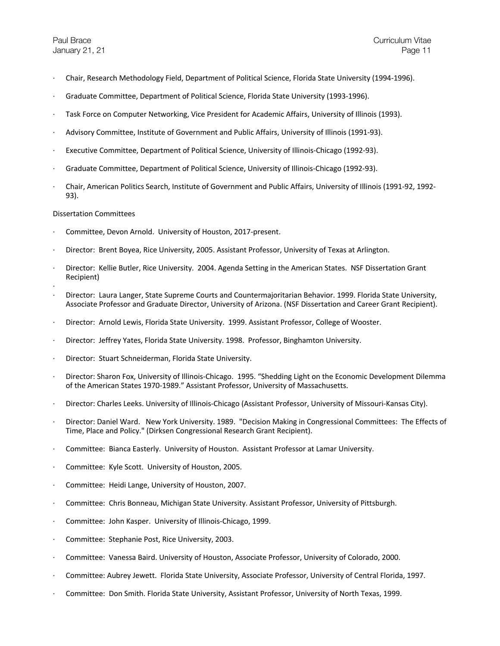- · Chair, Research Methodology Field, Department of Political Science, Florida State University (1994-1996).
- · Graduate Committee, Department of Political Science, Florida State University (1993-1996).
- · Task Force on Computer Networking, Vice President for Academic Affairs, University of Illinois (1993).
- · Advisory Committee, Institute of Government and Public Affairs, University of Illinois (1991-93).
- Executive Committee, Department of Political Science, University of Illinois-Chicago (1992-93).
- · Graduate Committee, Department of Political Science, University of Illinois-Chicago (1992-93).
- · Chair, American Politics Search, Institute of Government and Public Affairs, University of Illinois (1991-92, 1992- 93).

#### Dissertation Committees

- Committee, Devon Arnold. University of Houston, 2017-present.
- · Director: Brent Boyea, Rice University, 2005. Assistant Professor, University of Texas at Arlington.
- · Director: Kellie Butler, Rice University. 2004. Agenda Setting in the American States. NSF Dissertation Grant Recipient)
- ·
- · Director: Laura Langer, State Supreme Courts and Countermajoritarian Behavior. 1999. Florida State University, Associate Professor and Graduate Director, University of Arizona. (NSF Dissertation and Career Grant Recipient).
- · Director: Arnold Lewis, Florida State University. 1999. Assistant Professor, College of Wooster.
- Director: Jeffrey Yates, Florida State University. 1998. Professor, Binghamton University.
- Director: Stuart Schneiderman, Florida State University.
- · Director: Sharon Fox, University of Illinois-Chicago. 1995. "Shedding Light on the Economic Development Dilemma of the American States 1970-1989." Assistant Professor, University of Massachusetts.
- · Director: Charles Leeks. University of Illinois-Chicago (Assistant Professor, University of Missouri-Kansas City).
- · Director: Daniel Ward. New York University. 1989. "Decision Making in Congressional Committees: The Effects of Time, Place and Policy." (Dirksen Congressional Research Grant Recipient).
- · Committee: Bianca Easterly. University of Houston. Assistant Professor at Lamar University.
- · Committee: Kyle Scott. University of Houston, 2005.
- · Committee: Heidi Lange, University of Houston, 2007.
- · Committee: Chris Bonneau, Michigan State University. Assistant Professor, University of Pittsburgh.
- · Committee: John Kasper. University of Illinois-Chicago, 1999.
- · Committee: Stephanie Post, Rice University, 2003.
- · Committee: Vanessa Baird. University of Houston, Associate Professor, University of Colorado, 2000.
- · Committee: Aubrey Jewett. Florida State University, Associate Professor, University of Central Florida, 1997.
- · Committee: Don Smith. Florida State University, Assistant Professor, University of North Texas, 1999.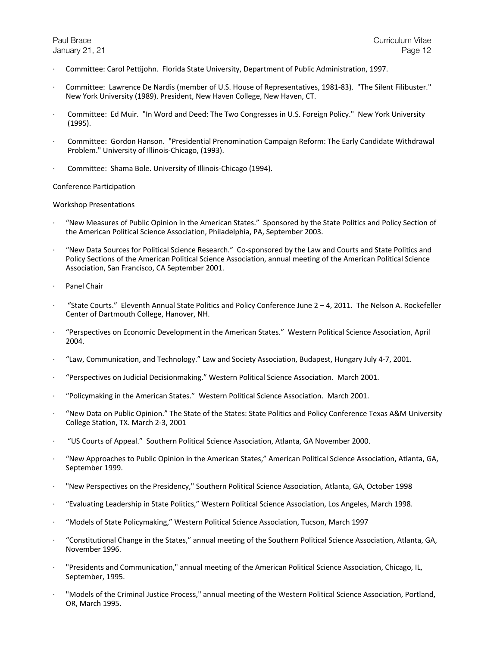- · Committee: Carol Pettijohn. Florida State University, Department of Public Administration, 1997.
- · Committee: Lawrence De Nardis (member of U.S. House of Representatives, 1981-83). "The Silent Filibuster." New York University (1989). President, New Haven College, New Haven, CT.
- · Committee: Ed Muir. "In Word and Deed: The Two Congresses in U.S. Foreign Policy." New York University (1995).
- · Committee: Gordon Hanson. "Presidential Prenomination Campaign Reform: The Early Candidate Withdrawal Problem." University of Illinois-Chicago, (1993).
- · Committee: Shama Bole. University of Illinois-Chicago (1994).

## Conference Participation

## Workshop Presentations

- · "New Measures of Public Opinion in the American States." Sponsored by the State Politics and Policy Section of the American Political Science Association, Philadelphia, PA, September 2003.
- · "New Data Sources for Political Science Research." Co-sponsored by the Law and Courts and State Politics and Policy Sections of the American Political Science Association, annual meeting of the American Political Science Association, San Francisco, CA September 2001.
- · Panel Chair
- · "State Courts." Eleventh Annual State Politics and Policy Conference June 2 4, 2011. The Nelson A. Rockefeller Center of Dartmouth College, Hanover, NH.
- · "Perspectives on Economic Development in the American States." Western Political Science Association, April 2004.
- · "Law, Communication, and Technology." Law and Society Association, Budapest, Hungary July 4-7, 2001.
- · "Perspectives on Judicial Decisionmaking." Western Political Science Association. March 2001.
- · "Policymaking in the American States." Western Political Science Association. March 2001.
- · "New Data on Public Opinion." The State of the States: State Politics and Policy Conference Texas A&M University College Station, TX. March 2-3, 2001
- · "US Courts of Appeal." Southern Political Science Association, Atlanta, GA November 2000.
- · "New Approaches to Public Opinion in the American States," American Political Science Association, Atlanta, GA, September 1999.
- · "New Perspectives on the Presidency," Southern Political Science Association, Atlanta, GA, October 1998
- · "Evaluating Leadership in State Politics," Western Political Science Association, Los Angeles, March 1998.
- · "Models of State Policymaking," Western Political Science Association, Tucson, March 1997
- · "Constitutional Change in the States," annual meeting of the Southern Political Science Association, Atlanta, GA, November 1996.
- · "Presidents and Communication," annual meeting of the American Political Science Association, Chicago, IL, September, 1995.
- · "Models of the Criminal Justice Process," annual meeting of the Western Political Science Association, Portland, OR, March 1995.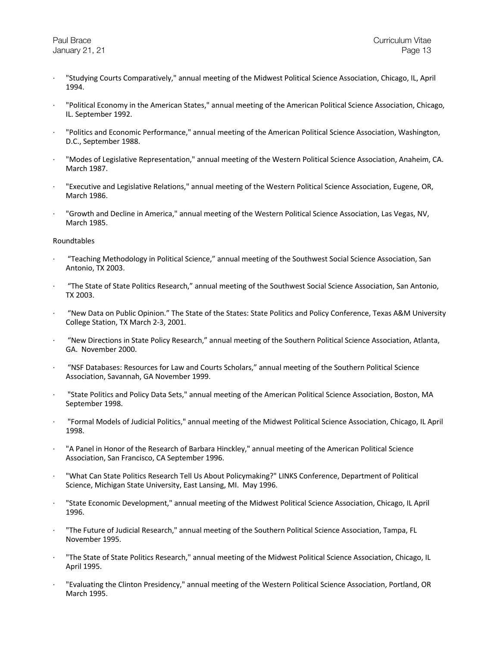- · "Studying Courts Comparatively," annual meeting of the Midwest Political Science Association, Chicago, IL, April 1994.
- · "Political Economy in the American States," annual meeting of the American Political Science Association, Chicago, IL. September 1992.
- · "Politics and Economic Performance," annual meeting of the American Political Science Association, Washington, D.C., September 1988.
- · "Modes of Legislative Representation," annual meeting of the Western Political Science Association, Anaheim, CA. March 1987.
- · "Executive and Legislative Relations," annual meeting of the Western Political Science Association, Eugene, OR, March 1986.
- · "Growth and Decline in America," annual meeting of the Western Political Science Association, Las Vegas, NV, March 1985.

#### Roundtables

- · "Teaching Methodology in Political Science," annual meeting of the Southwest Social Science Association, San Antonio, TX 2003.
- · "The State of State Politics Research," annual meeting of the Southwest Social Science Association, San Antonio, TX 2003.
- · "New Data on Public Opinion." The State of the States: State Politics and Policy Conference, Texas A&M University College Station, TX March 2-3, 2001.
- · "New Directions in State Policy Research," annual meeting of the Southern Political Science Association, Atlanta, GA. November 2000.
- · "NSF Databases: Resources for Law and Courts Scholars," annual meeting of the Southern Political Science Association, Savannah, GA November 1999.
- · "State Politics and Policy Data Sets," annual meeting of the American Political Science Association, Boston, MA September 1998.
- · "Formal Models of Judicial Politics," annual meeting of the Midwest Political Science Association, Chicago, IL April 1998.
- · "A Panel in Honor of the Research of Barbara Hinckley," annual meeting of the American Political Science Association, San Francisco, CA September 1996.
- · "What Can State Politics Research Tell Us About Policymaking?" LINKS Conference, Department of Political Science, Michigan State University, East Lansing, MI. May 1996.
- · "State Economic Development," annual meeting of the Midwest Political Science Association, Chicago, IL April 1996.
- · "The Future of Judicial Research," annual meeting of the Southern Political Science Association, Tampa, FL November 1995.
- · "The State of State Politics Research," annual meeting of the Midwest Political Science Association, Chicago, IL April 1995.
- · "Evaluating the Clinton Presidency," annual meeting of the Western Political Science Association, Portland, OR March 1995.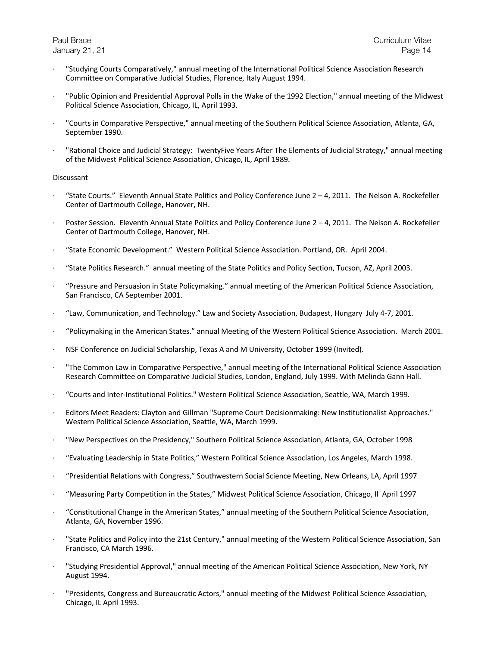- · "Studying Courts Comparatively," annual meeting of the International Political Science Association Research Committee on Comparative Judicial Studies, Florence, Italy August 1994.
- · "Public Opinion and Presidential Approval Polls in the Wake of the 1992 Election," annual meeting of the Midwest Political Science Association, Chicago, IL, April 1993.
- · "Courts in Comparative Perspective," annual meeting of the Southern Political Science Association, Atlanta, GA, September 1990.
- · "Rational Choice and Judicial Strategy: TwentyFive Years After The Elements of Judicial Strategy," annual meeting of the Midwest Political Science Association, Chicago, IL, April 1989.

#### Discussant

- · "State Courts." Eleventh Annual State Politics and Policy Conference June 2 4, 2011. The Nelson A. Rockefeller Center of Dartmouth College, Hanover, NH.
- Poster Session. Eleventh Annual State Politics and Policy Conference June  $2 4$ , 2011. The Nelson A. Rockefeller Center of Dartmouth College, Hanover, NH.
- · "State Economic Development." Western Political Science Association. Portland, OR. April 2004.
- · "State Politics Research." annual meeting of the State Politics and Policy Section, Tucson, AZ, April 2003.
- · "Pressure and Persuasion in State Policymaking." annual meeting of the American Political Science Association, San Francisco, CA September 2001.
- · "Law, Communication, and Technology." Law and Society Association, Budapest, Hungary July 4-7, 2001.
- · "Policymaking in the American States." annual Meeting of the Western Political Science Association. March 2001.
- · NSF Conference on Judicial Scholarship, Texas A and M University, October 1999 (Invited).
- · "The Common Law in Comparative Perspective," annual meeting of the International Political Science Association Research Committee on Comparative Judicial Studies, London, England, July 1999. With Melinda Gann Hall.
- · "Courts and Inter-Institutional Politics." Western Political Science Association, Seattle, WA, March 1999.
- · Editors Meet Readers: Clayton and Gillman "Supreme Court Decisionmaking: New Institutionalist Approaches." Western Political Science Association, Seattle, WA, March 1999.
- · "New Perspectives on the Presidency," Southern Political Science Association, Atlanta, GA, October 1998
- · "Evaluating Leadership in State Politics," Western Political Science Association, Los Angeles, March 1998.
- · "Presidential Relations with Congress," Southwestern Social Science Meeting, New Orleans, LA, April 1997
- · "Measuring Party Competition in the States," Midwest Political Science Association, Chicago, Il April 1997
- · "Constitutional Change in the American States," annual meeting of the Southern Political Science Association, Atlanta, GA, November 1996.
- · "State Politics and Policy into the 21st Century," annual meeting of the Western Political Science Association, San Francisco, CA March 1996.
- · "Studying Presidential Approval," annual meeting of the American Political Science Association, New York, NY August 1994.
- · "Presidents, Congress and Bureaucratic Actors," annual meeting of the Midwest Political Science Association, Chicago, IL April 1993.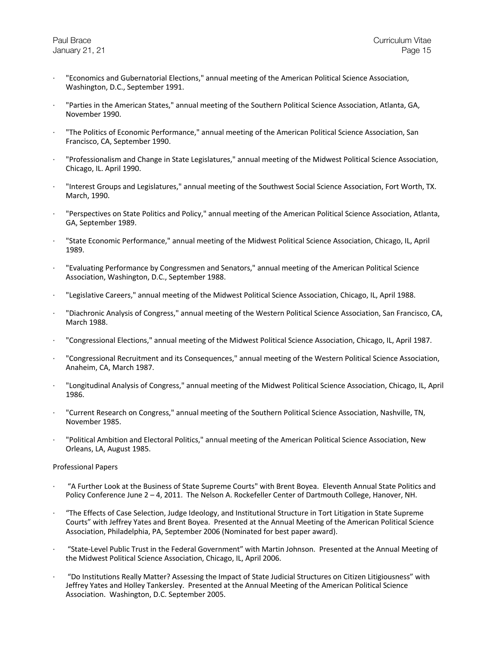- · "Economics and Gubernatorial Elections," annual meeting of the American Political Science Association, Washington, D.C., September 1991.
- · "Parties in the American States," annual meeting of the Southern Political Science Association, Atlanta, GA, November 1990.
- · "The Politics of Economic Performance," annual meeting of the American Political Science Association, San Francisco, CA, September 1990.
- · "Professionalism and Change in State Legislatures," annual meeting of the Midwest Political Science Association, Chicago, IL. April 1990.
- · "Interest Groups and Legislatures," annual meeting of the Southwest Social Science Association, Fort Worth, TX. March, 1990.
- · "Perspectives on State Politics and Policy," annual meeting of the American Political Science Association, Atlanta, GA, September 1989.
- · "State Economic Performance," annual meeting of the Midwest Political Science Association, Chicago, IL, April 1989.
- · "Evaluating Performance by Congressmen and Senators," annual meeting of the American Political Science Association, Washington, D.C., September 1988.
- · "Legislative Careers," annual meeting of the Midwest Political Science Association, Chicago, IL, April 1988.
- · "Diachronic Analysis of Congress," annual meeting of the Western Political Science Association, San Francisco, CA, March 1988.
- · "Congressional Elections," annual meeting of the Midwest Political Science Association, Chicago, IL, April 1987.
- · "Congressional Recruitment and its Consequences," annual meeting of the Western Political Science Association, Anaheim, CA, March 1987.
- · "Longitudinal Analysis of Congress," annual meeting of the Midwest Political Science Association, Chicago, IL, April 1986.
- · "Current Research on Congress," annual meeting of the Southern Political Science Association, Nashville, TN, November 1985.
- · "Political Ambition and Electoral Politics," annual meeting of the American Political Science Association, New Orleans, LA, August 1985.

## Professional Papers

- · "A Further Look at the Business of State Supreme Courts" with Brent Boyea. Eleventh Annual State Politics and Policy Conference June 2 – 4, 2011. The Nelson A. Rockefeller Center of Dartmouth College, Hanover, NH.
- · "The Effects of Case Selection, Judge Ideology, and Institutional Structure in Tort Litigation in State Supreme Courts" with Jeffrey Yates and Brent Boyea. Presented at the Annual Meeting of the American Political Science Association, Philadelphia, PA, September 2006 (Nominated for best paper award).
- · "State-Level Public Trust in the Federal Government" with Martin Johnson. Presented at the Annual Meeting of the Midwest Political Science Association, Chicago, IL, April 2006.
- · "Do Institutions Really Matter? Assessing the Impact of State Judicial Structures on Citizen Litigiousness" with Jeffrey Yates and Holley Tankersley. Presented at the Annual Meeting of the American Political Science Association. Washington, D.C. September 2005.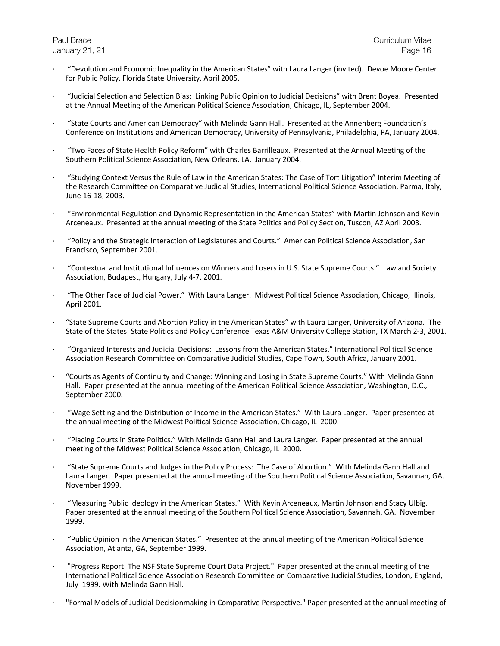- · "Devolution and Economic Inequality in the American States" with Laura Langer (invited). Devoe Moore Center for Public Policy, Florida State University, April 2005.
- · "Judicial Selection and Selection Bias: Linking Public Opinion to Judicial Decisions" with Brent Boyea. Presented at the Annual Meeting of the American Political Science Association, Chicago, IL, September 2004.
- · "State Courts and American Democracy" with Melinda Gann Hall. Presented at the Annenberg Foundation's Conference on Institutions and American Democracy, University of Pennsylvania, Philadelphia, PA, January 2004.
- · "Two Faces of State Health Policy Reform" with Charles Barrilleaux. Presented at the Annual Meeting of the Southern Political Science Association, New Orleans, LA. January 2004.
- · "Studying Context Versus the Rule of Law in the American States: The Case of Tort Litigation" Interim Meeting of the Research Committee on Comparative Judicial Studies, International Political Science Association, Parma, Italy, June 16-18, 2003.
- · "Environmental Regulation and Dynamic Representation in the American States" with Martin Johnson and Kevin Arceneaux. Presented at the annual meeting of the State Politics and Policy Section, Tuscon, AZ April 2003.
- · "Policy and the Strategic Interaction of Legislatures and Courts." American Political Science Association, San Francisco, September 2001.
- · "Contextual and Institutional Influences on Winners and Losers in U.S. State Supreme Courts." Law and Society Association, Budapest, Hungary, July 4-7, 2001.
- · "The Other Face of Judicial Power." With Laura Langer. Midwest Political Science Association, Chicago, Illinois, April 2001.
- · "State Supreme Courts and Abortion Policy in the American States" with Laura Langer, University of Arizona. The State of the States: State Politics and Policy Conference Texas A&M University College Station, TX March 2-3, 2001.
- · "Organized Interests and Judicial Decisions: Lessons from the American States." International Political Science Association Research Committee on Comparative Judicial Studies, Cape Town, South Africa, January 2001.
- · "Courts as Agents of Continuity and Change: Winning and Losing in State Supreme Courts." With Melinda Gann Hall. Paper presented at the annual meeting of the American Political Science Association, Washington, D.C., September 2000.
- · "Wage Setting and the Distribution of Income in the American States." With Laura Langer. Paper presented at the annual meeting of the Midwest Political Science Association, Chicago, IL 2000.
- · "Placing Courts in State Politics." With Melinda Gann Hall and Laura Langer. Paper presented at the annual meeting of the Midwest Political Science Association, Chicago, IL 2000.
- · "State Supreme Courts and Judges in the Policy Process: The Case of Abortion." With Melinda Gann Hall and Laura Langer. Paper presented at the annual meeting of the Southern Political Science Association, Savannah, GA. November 1999.
- · "Measuring Public Ideology in the American States." With Kevin Arceneaux, Martin Johnson and Stacy Ulbig. Paper presented at the annual meeting of the Southern Political Science Association, Savannah, GA. November 1999.
- · "Public Opinion in the American States." Presented at the annual meeting of the American Political Science Association, Atlanta, GA, September 1999.
- · "Progress Report: The NSF State Supreme Court Data Project." Paper presented at the annual meeting of the International Political Science Association Research Committee on Comparative Judicial Studies, London, England, July 1999. With Melinda Gann Hall.
- · "Formal Models of Judicial Decisionmaking in Comparative Perspective." Paper presented at the annual meeting of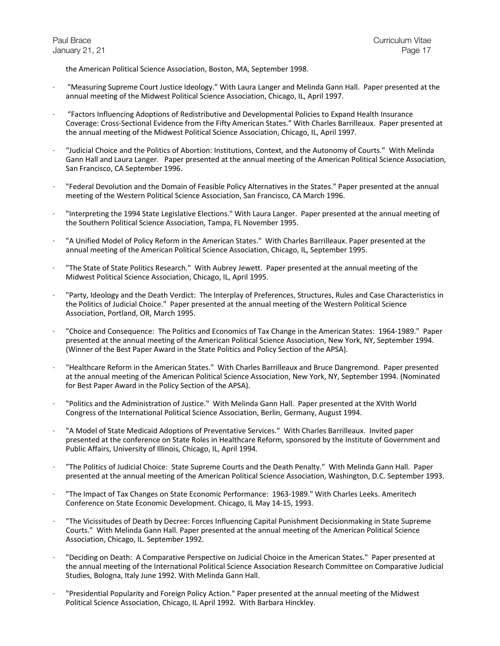the American Political Science Association, Boston, MA, September 1998.

- · "Measuring Supreme Court Justice Ideology." With Laura Langer and Melinda Gann Hall. Paper presented at the annual meeting of the Midwest Political Science Association, Chicago, IL, April 1997.
- · "Factors Influencing Adoptions of Redistributive and Developmental Policies to Expand Health Insurance Coverage: Cross-Sectional Evidence from the Fifty American States." With Charles Barrilleaux. Paper presented at the annual meeting of the Midwest Political Science Association, Chicago, IL, April 1997.
- · "Judicial Choice and the Politics of Abortion: Institutions, Context, and the Autonomy of Courts." With Melinda Gann Hall and Laura Langer. Paper presented at the annual meeting of the American Political Science Association, San Francisco, CA September 1996.
- · "Federal Devolution and the Domain of Feasible Policy Alternatives in the States." Paper presented at the annual meeting of the Western Political Science Association, San Francisco, CA March 1996.
- · "Interpreting the 1994 State Legislative Elections." With Laura Langer. Paper presented at the annual meeting of the Southern Political Science Association, Tampa, FL November 1995.
- · "A Unified Model of Policy Reform in the American States." With Charles Barrilleaux. Paper presented at the annual meeting of the American Political Science Association, Chicago, IL, September 1995.
- · "The State of State Politics Research." With Aubrey Jewett. Paper presented at the annual meeting of the Midwest Political Science Association, Chicago, IL, April 1995.
- · "Party, Ideology and the Death Verdict: The Interplay of Preferences, Structures, Rules and Case Characteristics in the Politics of Judicial Choice." Paper presented at the annual meeting of the Western Political Science Association, Portland, OR, March 1995.
- · "Choice and Consequence: The Politics and Economics of Tax Change in the American States: 1964-1989." Paper presented at the annual meeting of the American Political Science Association, New York, NY, September 1994. (Winner of the Best Paper Award in the State Politics and Policy Section of the APSA).
- · "Healthcare Reform in the American States." With Charles Barrilleaux and Bruce Dangremond. Paper presented at the annual meeting of the American Political Science Association, New York, NY, September 1994. (Nominated for Best Paper Award in the Policy Section of the APSA).
- · "Politics and the Administration of Justice." With Melinda Gann Hall. Paper presented at the XVIth World Congress of the International Political Science Association, Berlin, Germany, August 1994.
- · "A Model of State Medicaid Adoptions of Preventative Services." With Charles Barrilleaux. Invited paper presented at the conference on State Roles in Healthcare Reform, sponsored by the Institute of Government and Public Affairs, University of Illinois, Chicago, IL, April 1994.
- · "The Politics of Judicial Choice: State Supreme Courts and the Death Penalty." With Melinda Gann Hall. Paper presented at the annual meeting of the American Political Science Association, Washington, D.C. September 1993.
- · "The Impact of Tax Changes on State Economic Performance: 1963-1989." With Charles Leeks. Ameritech Conference on State Economic Development. Chicago, IL May 14-15, 1993.
- · "The Vicissitudes of Death by Decree: Forces Influencing Capital Punishment Decisionmaking in State Supreme Courts." With Melinda Gann Hall. Paper presented at the annual meeting of the American Political Science Association, Chicago, IL. September 1992.
- · "Deciding on Death: A Comparative Perspective on Judicial Choice in the American States." Paper presented at the annual meeting of the International Political Science Association Research Committee on Comparative Judicial Studies, Bologna, Italy June 1992. With Melinda Gann Hall.
- · "Presidential Popularity and Foreign Policy Action." Paper presented at the annual meeting of the Midwest Political Science Association, Chicago, IL April 1992. With Barbara Hinckley.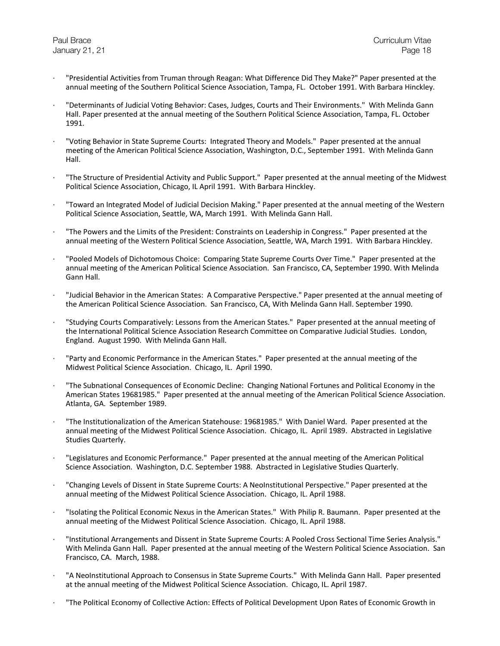- · "Presidential Activities from Truman through Reagan: What Difference Did They Make?" Paper presented at the annual meeting of the Southern Political Science Association, Tampa, FL. October 1991. With Barbara Hinckley.
- · "Determinants of Judicial Voting Behavior: Cases, Judges, Courts and Their Environments." With Melinda Gann Hall. Paper presented at the annual meeting of the Southern Political Science Association, Tampa, FL. October 1991.
- · "Voting Behavior in State Supreme Courts: Integrated Theory and Models." Paper presented at the annual meeting of the American Political Science Association, Washington, D.C., September 1991. With Melinda Gann Hall.
- · "The Structure of Presidential Activity and Public Support." Paper presented at the annual meeting of the Midwest Political Science Association, Chicago, IL April 1991. With Barbara Hinckley.
- · "Toward an Integrated Model of Judicial Decision Making." Paper presented at the annual meeting of the Western Political Science Association, Seattle, WA, March 1991. With Melinda Gann Hall.
- · "The Powers and the Limits of the President: Constraints on Leadership in Congress." Paper presented at the annual meeting of the Western Political Science Association, Seattle, WA, March 1991. With Barbara Hinckley.
- · "Pooled Models of Dichotomous Choice: Comparing State Supreme Courts Over Time." Paper presented at the annual meeting of the American Political Science Association. San Francisco, CA, September 1990. With Melinda Gann Hall.
- · "Judicial Behavior in the American States: A Comparative Perspective." Paper presented at the annual meeting of the American Political Science Association. San Francisco, CA, With Melinda Gann Hall. September 1990.
- · "Studying Courts Comparatively: Lessons from the American States." Paper presented at the annual meeting of the International Political Science Association Research Committee on Comparative Judicial Studies. London, England. August 1990. With Melinda Gann Hall.
- · "Party and Economic Performance in the American States." Paper presented at the annual meeting of the Midwest Political Science Association. Chicago, IL. April 1990.
- · "The Subnational Consequences of Economic Decline: Changing National Fortunes and Political Economy in the American States 19681985." Paper presented at the annual meeting of the American Political Science Association. Atlanta, GA. September 1989.
- · "The Institutionalization of the American Statehouse: 19681985." With Daniel Ward. Paper presented at the annual meeting of the Midwest Political Science Association. Chicago, IL. April 1989. Abstracted in Legislative Studies Quarterly.
- · "Legislatures and Economic Performance." Paper presented at the annual meeting of the American Political Science Association. Washington, D.C. September 1988. Abstracted in Legislative Studies Quarterly.
- · "Changing Levels of Dissent in State Supreme Courts: A NeoInstitutional Perspective." Paper presented at the annual meeting of the Midwest Political Science Association. Chicago, IL. April 1988.
- · "Isolating the Political Economic Nexus in the American States." With Philip R. Baumann. Paper presented at the annual meeting of the Midwest Political Science Association. Chicago, IL. April 1988.
- · "Institutional Arrangements and Dissent in State Supreme Courts: A Pooled Cross Sectional Time Series Analysis." With Melinda Gann Hall. Paper presented at the annual meeting of the Western Political Science Association. San Francisco, CA. March, 1988.
- · "A NeoInstitutional Approach to Consensus in State Supreme Courts." With Melinda Gann Hall. Paper presented at the annual meeting of the Midwest Political Science Association. Chicago, IL. April 1987.
- · "The Political Economy of Collective Action: Effects of Political Development Upon Rates of Economic Growth in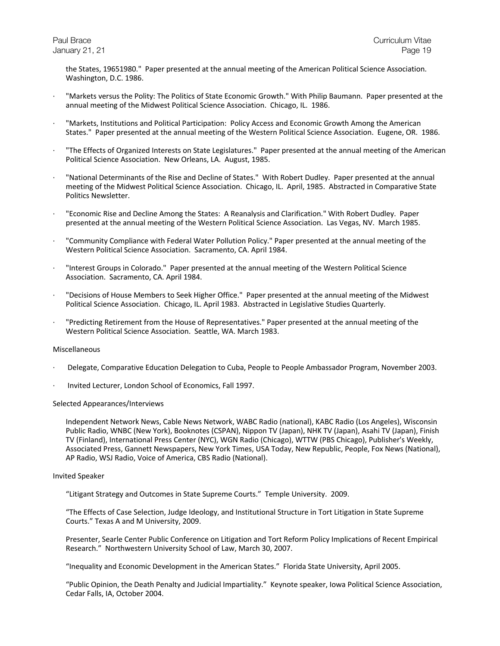the States, 19651980." Paper presented at the annual meeting of the American Political Science Association. Washington, D.C. 1986.

- · "Markets versus the Polity: The Politics of State Economic Growth." With Philip Baumann. Paper presented at the annual meeting of the Midwest Political Science Association. Chicago, IL. 1986.
- · "Markets, Institutions and Political Participation: Policy Access and Economic Growth Among the American States." Paper presented at the annual meeting of the Western Political Science Association. Eugene, OR. 1986.
- · "The Effects of Organized Interests on State Legislatures." Paper presented at the annual meeting of the American Political Science Association. New Orleans, LA. August, 1985.
- · "National Determinants of the Rise and Decline of States." With Robert Dudley. Paper presented at the annual meeting of the Midwest Political Science Association. Chicago, IL. April, 1985. Abstracted in Comparative State Politics Newsletter.
- · "Economic Rise and Decline Among the States: A Reanalysis and Clarification." With Robert Dudley. Paper presented at the annual meeting of the Western Political Science Association. Las Vegas, NV. March 1985.
- · "Community Compliance with Federal Water Pollution Policy." Paper presented at the annual meeting of the Western Political Science Association. Sacramento, CA. April 1984.
- · "Interest Groups in Colorado." Paper presented at the annual meeting of the Western Political Science Association. Sacramento, CA. April 1984.
- · "Decisions of House Members to Seek Higher Office." Paper presented at the annual meeting of the Midwest Political Science Association. Chicago, IL. April 1983. Abstracted in Legislative Studies Quarterly.
- · "Predicting Retirement from the House of Representatives." Paper presented at the annual meeting of the Western Political Science Association. Seattle, WA. March 1983.

## Miscellaneous

- · Delegate, Comparative Education Delegation to Cuba, People to People Ambassador Program, November 2003.
- · Invited Lecturer, London School of Economics, Fall 1997.

#### Selected Appearances/Interviews

Independent Network News, Cable News Network, WABC Radio (national), KABC Radio (Los Angeles), Wisconsin Public Radio, WNBC (New York), Booknotes (CSPAN), Nippon TV (Japan), NHK TV (Japan), Asahi TV (Japan), Finish TV (Finland), International Press Center (NYC), WGN Radio (Chicago), WTTW (PBS Chicago), Publisher's Weekly, Associated Press, Gannett Newspapers, New York Times, USA Today, New Republic, People, Fox News (National), AP Radio, WSJ Radio, Voice of America, CBS Radio (National).

#### Invited Speaker

"Litigant Strategy and Outcomes in State Supreme Courts." Temple University. 2009.

"The Effects of Case Selection, Judge Ideology, and Institutional Structure in Tort Litigation in State Supreme Courts." Texas A and M University, 2009.

Presenter, Searle Center Public Conference on Litigation and Tort Reform Policy Implications of Recent Empirical Research." Northwestern University School of Law, March 30, 2007.

"Inequality and Economic Development in the American States." Florida State University, April 2005.

"Public Opinion, the Death Penalty and Judicial Impartiality." Keynote speaker, Iowa Political Science Association, Cedar Falls, IA, October 2004.